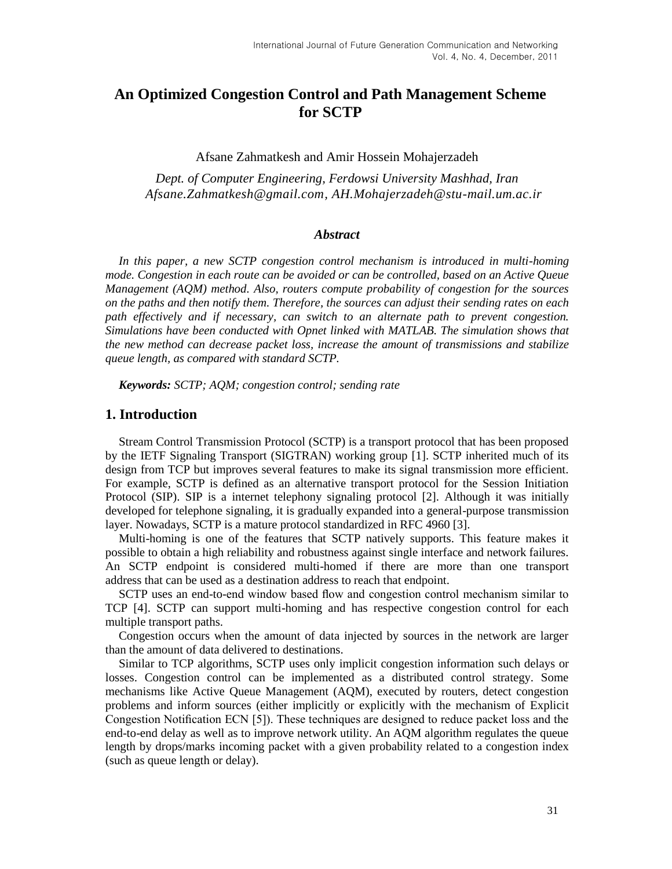# **An Optimized Congestion Control and Path Management Scheme for SCTP**

Afsane Zahmatkesh and Amir Hossein Mohajerzadeh

*Dept. of Computer Engineering, Ferdowsi University Mashhad, Iran [Afsane.Zahmatkesh@gmail.com,](mailto:Afsane.Zahmatkesh@gmail.com) [AH.Mohajerzadeh@stu-mail.um.ac.ir](mailto:AH.Mohajerzadeh@stu-mail.um.ac.ir)*

#### *Abstract*

In this paper, a new SCTP congestion control mechanism is introduced in multi-homing *mode. Congestion in each route can be avoided or can be controlled, based on an Active Queue Management (AQM) method. Also, routers compute probability of congestion for the sources on the paths and then notify them. Therefore, the sources can adjust their sending rates on each path effectively and if necessary, can switch to an alternate path to prevent congestion. Simulations have been conducted with Opnet linked with MATLAB. The simulation shows that the new method can decrease packet loss, increase the amount of transmissions and stabilize queue length, as compared with standard SCTP.*

*Keywords: SCTP; AQM; congestion control; sending rate*

#### **1. Introduction**

Stream Control Transmission Protocol (SCTP) is a transport protocol that has been proposed by the IETF Signaling Transport (SIGTRAN) working group [1]. SCTP inherited much of its design from TCP but improves several features to make its signal transmission more efficient. For example, SCTP is defined as an alternative transport protocol for the Session Initiation Protocol (SIP). SIP is a internet telephony signaling protocol [2]. Although it was initially developed for telephone signaling, it is gradually expanded into a general-purpose transmission layer. Nowadays, SCTP is a mature protocol standardized in RFC 4960 [3].

Multi-homing is one of the features that SCTP natively supports. This feature makes it possible to obtain a high reliability and robustness against single interface and network failures. An SCTP endpoint is considered multi-homed if there are more than one transport address that can be used as a destination address to reach that endpoint.

SCTP uses an end-to-end window based flow and congestion control mechanism similar to TCP [4]. SCTP can support multi-homing and has respective congestion control for each multiple transport paths.

Congestion occurs when the amount of data injected by sources in the network are larger than the amount of data delivered to destinations.

Similar to TCP algorithms, SCTP uses only implicit congestion information such delays or losses. Congestion control can be implemented as a distributed control strategy. Some mechanisms like Active Queue Management (AQM), executed by routers, detect congestion problems and inform sources (either implicitly or explicitly with the mechanism of Explicit Congestion Notification ECN [5]). These techniques are designed to reduce packet loss and the end-to-end delay as well as to improve network utility. An AQM algorithm regulates the queue length by drops/marks incoming packet with a given probability related to a congestion index (such as queue length or delay).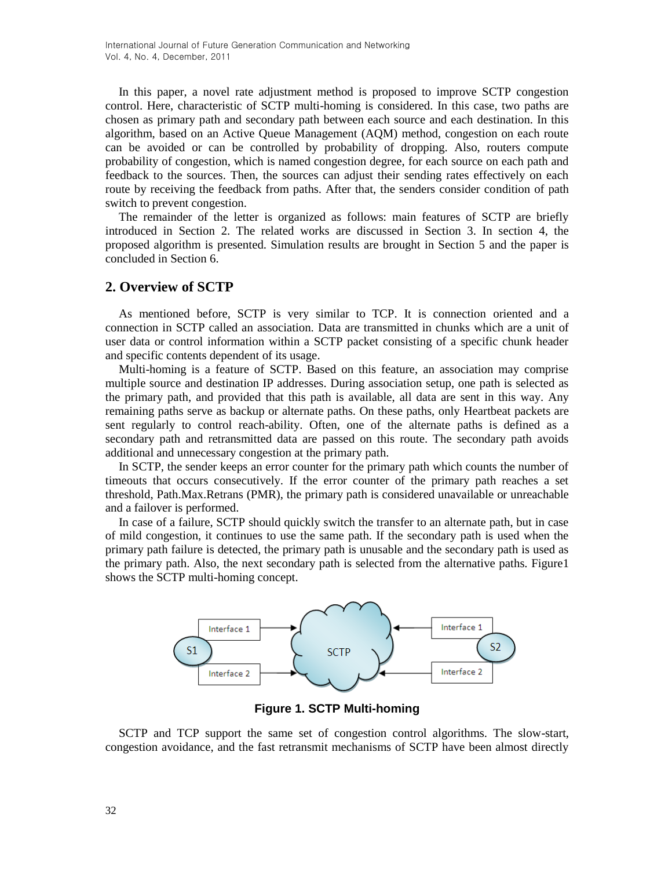In this paper, a novel rate adjustment method is proposed to improve SCTP congestion control. Here, characteristic of SCTP multi-homing is considered. In this case, two paths are chosen as primary path and secondary path between each source and each destination. In this algorithm, based on an Active Queue Management (AQM) method, congestion on each route can be avoided or can be controlled by probability of dropping. Also, routers compute probability of congestion, which is named congestion degree, for each source on each path and feedback to the sources. Then, the sources can adjust their sending rates effectively on each route by receiving the feedback from paths. After that, the senders consider condition of path switch to prevent congestion.

The remainder of the letter is organized as follows: main features of SCTP are briefly introduced in Section 2. The related works are discussed in Section 3. In section 4, the proposed algorithm is presented. Simulation results are brought in Section 5 and the paper is concluded in Section 6.

## **2. Overview of SCTP**

As mentioned before, SCTP is very similar to TCP. It is connection oriented and a connection in SCTP called an association. Data are transmitted in chunks which are a unit of user data or control information within a SCTP packet consisting of a specific chunk header and specific contents dependent of its usage.

Multi-homing is a feature of SCTP. Based on this feature, an association may comprise multiple source and destination IP addresses. During association setup, one path is selected as the primary path, and provided that this path is available, all data are sent in this way. Any remaining paths serve as backup or alternate paths. On these paths, only Heartbeat packets are sent regularly to control reach-ability. Often, one of the alternate paths is defined as a secondary path and retransmitted data are passed on this route. The secondary path avoids additional and unnecessary congestion at the primary path.

In SCTP, the sender keeps an error counter for the primary path which counts the number of timeouts that occurs consecutively. If the error counter of the primary path reaches a set threshold, Path.Max.Retrans (PMR), the primary path is considered unavailable or unreachable and a failover is performed.

In case of a failure, SCTP should quickly switch the transfer to an alternate path, but in case of mild congestion, it continues to use the same path. If the secondary path is used when the primary path failure is detected, the primary path is unusable and the secondary path is used as the primary path. Also, the next secondary path is selected from the alternative paths. Figure1 shows the SCTP multi-homing concept.



**Figure 1. SCTP Multi-homing**

SCTP and TCP support the same set of congestion control algorithms. The slow-start, congestion avoidance, and the fast retransmit mechanisms of SCTP have been almost directly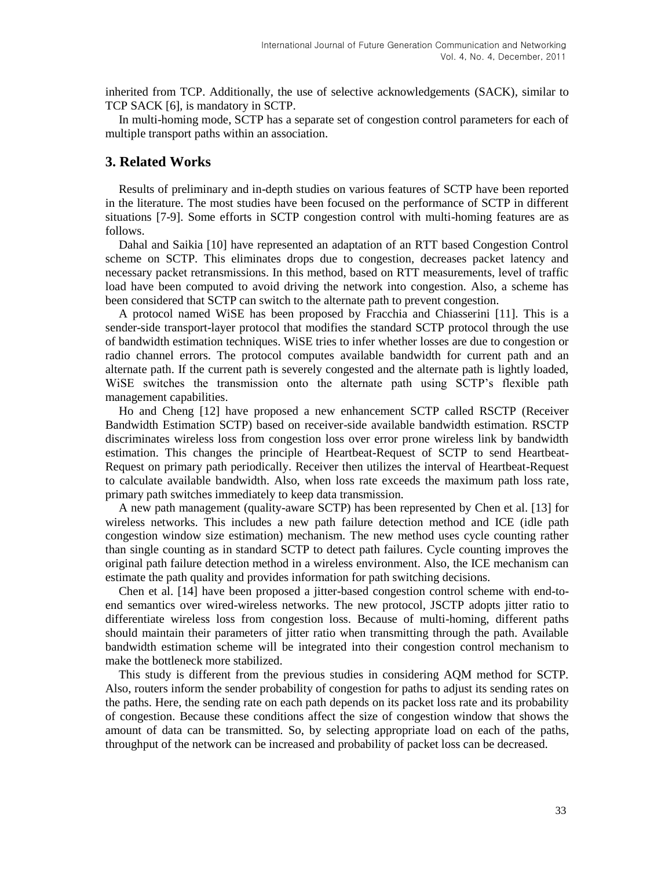inherited from TCP. Additionally, the use of selective acknowledgements (SACK), similar to TCP SACK [6], is mandatory in SCTP.

In multi-homing mode, SCTP has a separate set of congestion control parameters for each of multiple transport paths within an association.

## **3. Related Works**

Results of preliminary and in-depth studies on various features of SCTP have been reported in the literature. The most studies have been focused on the performance of SCTP in different situations [7-9]. Some efforts in SCTP congestion control with multi-homing features are as follows.

Dahal and Saikia [10] have represented an adaptation of an RTT based Congestion Control scheme on SCTP. This eliminates drops due to congestion, decreases packet latency and necessary packet retransmissions. In this method, based on RTT measurements, level of traffic load have been computed to avoid driving the network into congestion. Also, a scheme has been considered that SCTP can switch to the alternate path to prevent congestion.

A protocol named WiSE has been proposed by Fracchia and Chiasserini [11]. This is a sender-side transport-layer protocol that modifies the standard SCTP protocol through the use of bandwidth estimation techniques. WiSE tries to infer whether losses are due to congestion or radio channel errors. The protocol computes available bandwidth for current path and an alternate path. If the current path is severely congested and the alternate path is lightly loaded, WiSE switches the transmission onto the alternate path using SCTP's flexible path management capabilities.

Ho and Cheng [12] have proposed a new enhancement SCTP called RSCTP (Receiver Bandwidth Estimation SCTP) based on receiver-side available bandwidth estimation. RSCTP discriminates wireless loss from congestion loss over error prone wireless link by bandwidth estimation. This changes the principle of Heartbeat-Request of SCTP to send Heartbeat-Request on primary path periodically. Receiver then utilizes the interval of Heartbeat-Request to calculate available bandwidth. Also, when loss rate exceeds the maximum path loss rate, primary path switches immediately to keep data transmission.

A new path management (quality-aware SCTP) has been represented by [Chen](http://www.hindawi.com/65835864/) et al. [13] for wireless networks. This includes a new path failure detection method and ICE (idle path congestion window size estimation) mechanism. The new method uses cycle counting rather than single counting as in standard SCTP to detect path failures. Cycle counting improves the original path failure detection method in a wireless environment. Also, the ICE mechanism can estimate the path quality and provides information for path switching decisions.

Chen et al. [14] have been proposed a jitter-based congestion control scheme with end-toend semantics over wired-wireless networks. The new protocol, JSCTP adopts jitter ratio to differentiate wireless loss from congestion loss. Because of multi-homing, different paths should maintain their parameters of jitter ratio when transmitting through the path. Available bandwidth estimation scheme will be integrated into their congestion control mechanism to make the bottleneck more stabilized.

This study is different from the previous studies in considering AQM method for SCTP. Also, routers inform the sender probability of congestion for paths to adjust its sending rates on the paths. Here, the sending rate on each path depends on its packet loss rate and its probability of congestion. Because these conditions affect the size of congestion window that shows the amount of data can be transmitted. So, by selecting appropriate load on each of the paths, throughput of the network can be increased and probability of packet loss can be decreased.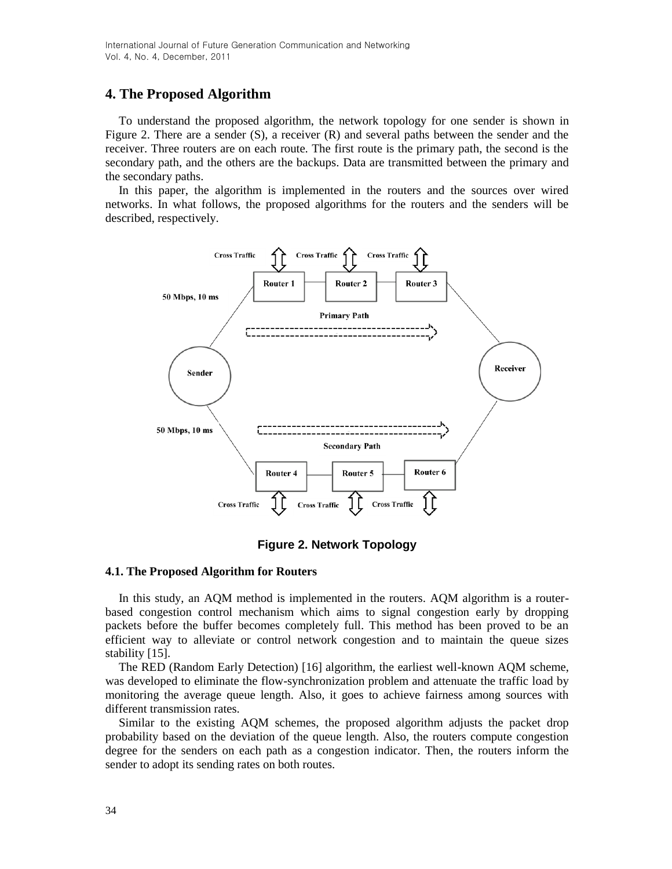## **4. The Proposed Algorithm**

To understand the proposed algorithm, the network topology for one sender is shown in Figure 2. There are a sender  $(S)$ , a receiver  $(R)$  and several paths between the sender and the receiver. Three routers are on each route. The first route is the primary path, the second is the secondary path, and the others are the backups. Data are transmitted between the primary and the secondary paths.

In this paper, the algorithm is implemented in the routers and the sources over wired networks. In what follows, the proposed algorithms for the routers and the senders will be described, respectively.



**Figure 2. Network Topology**

#### **4.1. The Proposed Algorithm for Routers**

In this study, an AQM method is implemented in the routers. AQM algorithm is a routerbased congestion control mechanism which aims to signal congestion early by dropping packets before the buffer becomes completely full. This method has been proved to be an efficient way to alleviate or control network congestion and to maintain the queue sizes stability [15].

The RED (Random Early Detection) [16] algorithm, the earliest well-known AQM scheme, was developed to eliminate the flow-synchronization problem and attenuate the traffic load by monitoring the average queue length. Also, it goes to achieve fairness among sources with different transmission rates.

Similar to the existing AQM schemes, the proposed algorithm adjusts the packet drop probability based on the deviation of the queue length. Also, the routers compute congestion degree for the senders on each path as a congestion indicator. Then, the routers inform the sender to adopt its sending rates on both routes.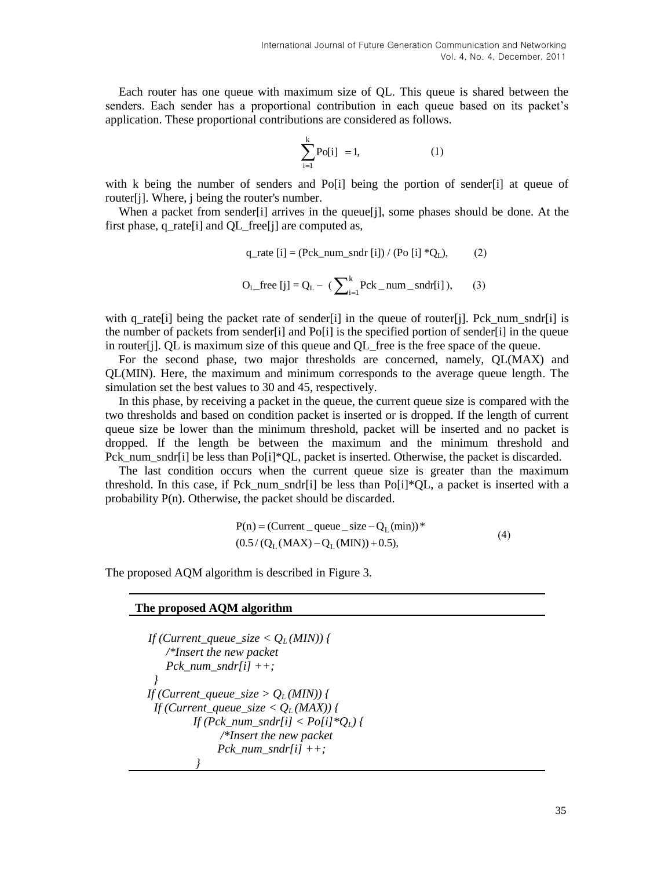Each router has one queue with maximum size of QL. This queue is shared between the senders. Each sender has a proportional contribution in each queue based on its packet's application. These proportional contributions are considered as follows.

$$
\sum_{i=1}^{k} Po[i] = 1, \tag{1}
$$

with k being the number of senders and  $Po[i]$  being the portion of sender [i] at queue of router[j]. Where, j being the router's number.

When a packet from sender [i] arrives in the queue [j], some phases should be done. At the first phase, q\_rate<sup>[i]</sup> and QL\_free<sup>[j]</sup> are computed as,

q\_rate [i] = (Pck\_number
$$
\text{and } [i]
$$
) / (Po [i] \*Q<sub>L</sub>), (2)

$$
O_{L_{\text{e}}free [j]} = Q_{L} - (\sum_{i=1}^{k} Pck_{\text{e}} num_{\text{e}}\text{sndr[i]}), \quad (3)
$$

with q rate [i] being the packet rate of sender [i] in the queue of router [j]. Pck num sndr [i] is the number of packets from sender[i] and Po[i] is the specified portion of sender[i] in the queue in router[j]. QL is maximum size of this queue and QL\_free is the free space of the queue.

For the second phase, two major thresholds are concerned, namely, QL(MAX) and QL(MIN). Here, the maximum and minimum corresponds to the average queue length. The simulation set the best values to 30 and 45, respectively.

In this phase, by receiving a packet in the queue, the current queue size is compared with the two thresholds and based on condition packet is inserted or is dropped. If the length of current queue size be lower than the minimum threshold, packet will be inserted and no packet is dropped. If the length be between the maximum and the minimum threshold and Pck num sndr[i] be less than Po[i]\*QL, packet is inserted. Otherwise, the packet is discarded.

The last condition occurs when the current queue size is greater than the maximum threshold. In this case, if Pck\_num\_sndr[i] be less than Po[i]\*QL, a packet is inserted with a probability P(n). Otherwise, the packet should be discarded.

$$
P(n) = (Current_{\text{queue}} - size - Q_{L}(\text{min}))^*
$$
  
(0.5 / (Q<sub>L</sub>(MAX) - Q<sub>L</sub>(MIN)) + 0.5), (4)

The proposed AQM algorithm is described in Figure 3.

#### **The proposed AQM algorithm**

```
If (Current_queue_size Q_L(MIN)) {
      /*Insert the new packet 
      Pck_num_sndr[i] ++;
    }
  If (Current_queue_size > Q_L(MIN)) {
   If (Current_queue_size < Q_L(MAX)) {
           If (Pck_num_sndr[i] < Po[i]*QL) {
                /*Insert the new packet
               Pck num sndr[i] ++;
 }
```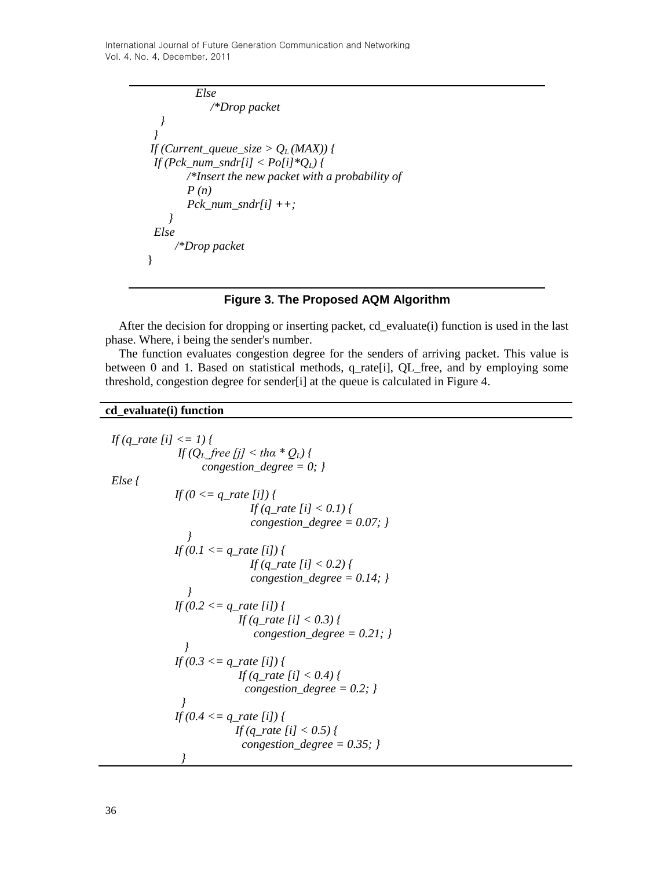International Journal of Future Generation Communication and Networking Vol. 4, No. 4, December, 2011

```
 Else 
             /*Drop packet
 }
  }
If (Current_queue_size > Q_L (MAX)) {
 If (Pck_num_sndr[i] < Po[i]*QL) {
         /*Insert the new packet with a probability of 
         P (n)
         Pck_num_sndr[i] ++;
     }
 Else
      /*Drop packet
 }
```
#### **Figure 3. The Proposed AQM Algorithm**

After the decision for dropping or inserting packet, cd\_evaluate(i) function is used in the last phase. Where, i being the sender's number.

The function evaluates congestion degree for the senders of arriving packet. This value is between 0 and 1. Based on statistical methods, q\_rate[i], QL\_free, and by employing some threshold, congestion degree for sender[i] at the queue is calculated in Figure 4.

#### **cd\_evaluate(i) function**

```
 If (q_rate [i] <= 1) {
             If (Q_L free [i] \leq tha * Q_L} {
                   congestion_degree = 0; }
 Else {
             If (0 <= q_rate [i]) {
                            If (q_rate [i] < 0.1) {
                            congestion_degree = 0.07; }
 }
            If (0.1 \leq q_rate [i] \} If (q_rate [i] < 0.2) {
                            congestion_degree = 0.14; }
 }
             If (0.2 <= q_rate [i]) {
                          If (q_rate [i] < 0.3) {
                             congestion_degree = 0.21; }
 }
             If (0.3 \leq q_rate [i]) \} If (q_rate [i] < 0.4) {
                           congestion_degree = 0.2; }
 }
             If (0.4 <= q_rate [i]) {
                         If (q_rate [i] < 0.5) {
                          congestion_degree = 0.35; }
 }
```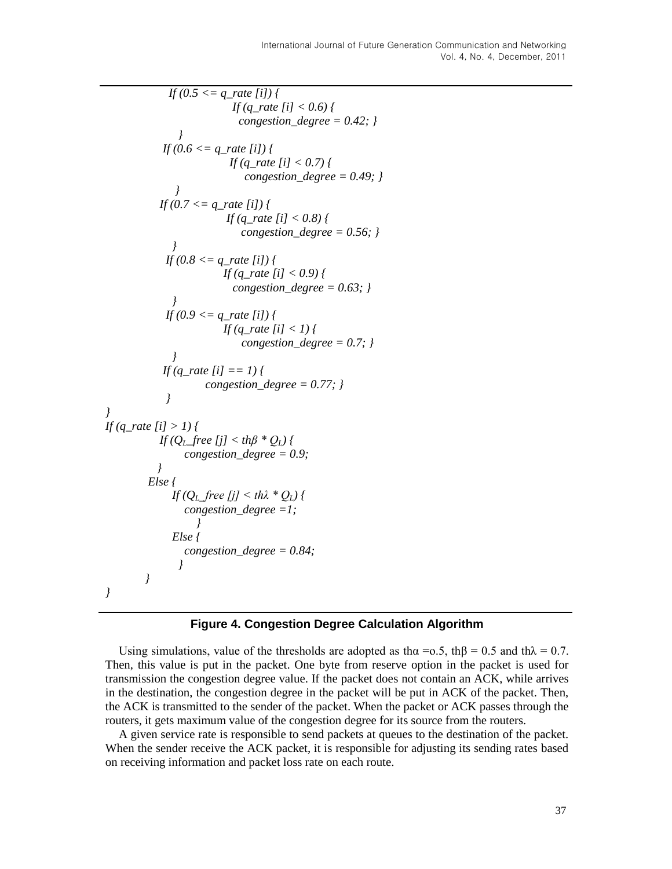```
 If (0.5 <= q_rate [i]) {
                         If (q_rate [i] < 0.6) {
                          congestion_degree = 0.42; }
 }
           If (0.6 \leq q_rate [i]) {
                         If (q_rate [i] < 0.7) {
                            congestion_degree = 0.49; }
 }
           If (0.7 <= q_rate [i]) {
                        If (q_rate [i] < 0.8) {
                           congestion_degree = 0.56; }
 }
           If (0.8 \leq q_rate [i]) {
                       If (q_rate [i] < 0.9) {
                         congestion_degree = 0.63; }
 }
           If (0.9 \leq q_rate [i]) {
                       If (q_rate [i] < 1) {
                           congestion_degree = 0.7; }
 }
            If (q_rate [i] == 1) {
                    congestion_degree = 0.77; }
            }
If (q_rate [i] > 1) {
           If (QL_free [j] < thβ * QL) {
               congestion_degree = 0.9;
           }
        Else { 
              If (QL_free [j] < thλ * QL) {
               congestion_degree =1;
 }
              Else {
               congestion_degree = 0.84;
               }
       }
}
```
*}*

## **Figure 4. Congestion Degree Calculation Algorithm**

Using simulations, value of the thresholds are adopted as th $\alpha = 0.5$ , th $\beta = 0.5$  and th $\lambda = 0.7$ . Then, this value is put in the packet. One byte from reserve option in the packet is used for transmission the congestion degree value. If the packet does not contain an ACK, while arrives in the destination, the congestion degree in the packet will be put in ACK of the packet. Then, the ACK is transmitted to the sender of the packet. When the packet or ACK passes through the routers, it gets maximum value of the congestion degree for its source from the routers.

A given service rate is responsible to send packets at queues to the destination of the packet. When the sender receive the ACK packet, it is responsible for adjusting its sending rates based on receiving information and packet loss rate on each route.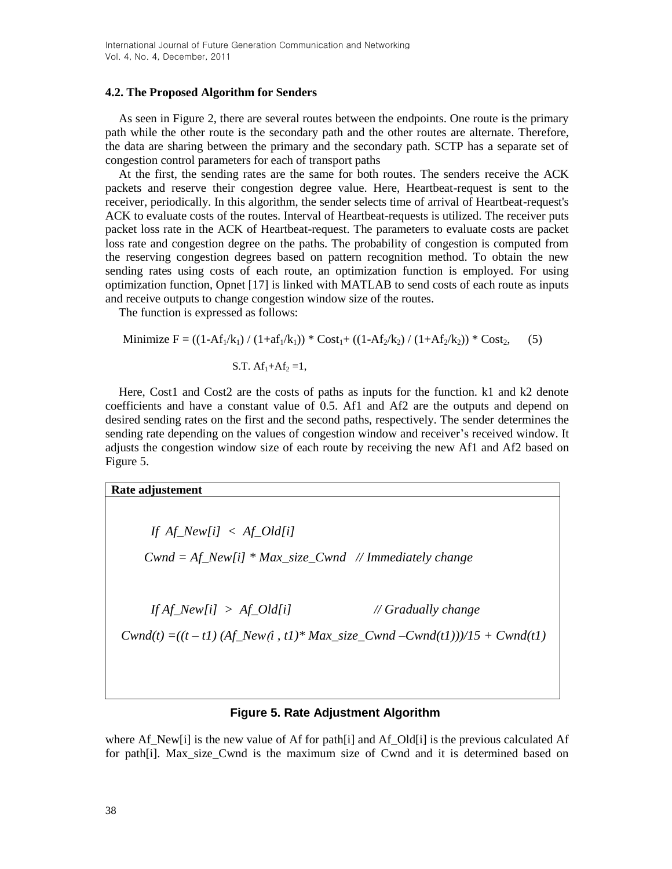#### **4.2. The Proposed Algorithm for Senders**

As seen in Figure 2, there are several routes between the endpoints. One route is the primary path while the other route is the secondary path and the other routes are alternate. Therefore, the data are sharing between the primary and the secondary path. SCTP has a separate set of congestion control parameters for each of transport paths

At the first, the sending rates are the same for both routes. The senders receive the ACK packets and reserve their congestion degree value. Here, Heartbeat-request is sent to the receiver, periodically. In this algorithm, the sender selects time of arrival of Heartbeat-request's ACK to evaluate costs of the routes. Interval of Heartbeat-requests is utilized. The receiver puts packet loss rate in the ACK of Heartbeat-request. The parameters to evaluate costs are packet loss rate and congestion degree on the paths. The probability of congestion is computed from the reserving congestion degrees based on pattern recognition method. To obtain the new sending rates using costs of each route, an optimization function is employed. For using optimization function, Opnet [17] is linked with MATLAB to send costs of each route as inputs and receive outputs to change congestion window size of the routes.

The function is expressed as follows:

Minimize 
$$
F = ((1 - Af_1/k_1) / (1 + af_1/k_1)) * Cost_1 + ((1 - Af_2/k_2) / (1 + Af_2/k_2)) * Cost_2,
$$
 (5)

S.T. 
$$
Af_1 + Af_2 = 1
$$
,

Here, Cost1 and Cost2 are the costs of paths as inputs for the function. k1 and k2 denote coefficients and have a constant value of 0.5. Af1 and Af2 are the outputs and depend on desired sending rates on the first and the second paths, respectively. The sender determines the sending rate depending on the values of congestion window and receiver's received window. It adjusts the congestion window size of each route by receiving the new Af1 and Af2 based on Figure 5.

| Rate adjustement                                                                |                     |
|---------------------------------------------------------------------------------|---------------------|
|                                                                                 |                     |
| If $Af_{\perp}New[i] < Af_{\perp}Old[i]$                                        |                     |
| $Cwnd = Af_New[i] * Max_size_Cwnd$ // Immediately change                        |                     |
|                                                                                 |                     |
| If $Af_New[i] > Af_0Id[i]$                                                      | // Gradually change |
| $Cwnd(t) = ((t - t1) (Af\_New(i, t1)*Max_size\_Cwnd - Cwnd(t1)))/15 + Cwnd(t1)$ |                     |
|                                                                                 |                     |
|                                                                                 |                     |
|                                                                                 |                     |

### **Figure 5. Rate Adjustment Algorithm**

where Af\_New[i] is the new value of Af for path[i] and Af\_Old[i] is the previous calculated Af for path[i]. Max\_size\_Cwnd is the maximum size of Cwnd and it is determined based on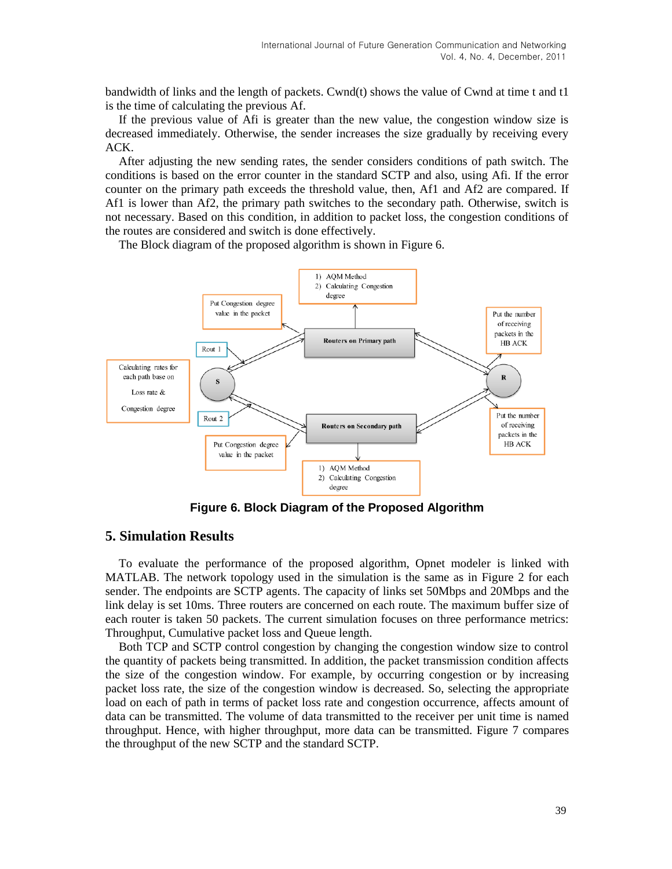bandwidth of links and the length of packets. Cwnd(t) shows the value of Cwnd at time t and t1 is the time of calculating the previous Af.

If the previous value of Afi is greater than the new value, the congestion window size is decreased immediately. Otherwise, the sender increases the size gradually by receiving every ACK.

After adjusting the new sending rates, the sender considers conditions of path switch. The conditions is based on the error counter in the standard SCTP and also, using Afi. If the error counter on the primary path exceeds the threshold value, then, Af1 and Af2 are compared. If Af1 is lower than Af2, the primary path switches to the secondary path. Otherwise, switch is not necessary. Based on this condition, in addition to packet loss, the congestion conditions of the routes are considered and switch is done effectively.

The Block diagram of the proposed algorithm is shown in Figure 6.



**Figure 6. Block Diagram of the Proposed Algorithm**

## **5. Simulation Results**

To evaluate the performance of the proposed algorithm, Opnet modeler is linked with MATLAB. The network topology used in the simulation is the same as in Figure 2 for each sender. The endpoints are SCTP agents. The capacity of links set 50Mbps and 20Mbps and the link delay is set 10ms. Three routers are concerned on each route. The maximum buffer size of each router is taken 50 packets. The current simulation focuses on three performance metrics: Throughput, Cumulative packet loss and Queue length.

Both TCP and SCTP control congestion by changing the congestion window size to control the quantity of packets being transmitted. In addition, the packet transmission condition affects the size of the congestion window. For example, by occurring congestion or by increasing packet loss rate, the size of the congestion window is decreased. So, selecting the appropriate load on each of path in terms of packet loss rate and congestion occurrence, affects amount of data can be transmitted. The volume of data transmitted to the receiver per unit time is named throughput. Hence, with higher throughput, more data can be transmitted. Figure 7 compares the throughput of the new SCTP and the standard SCTP.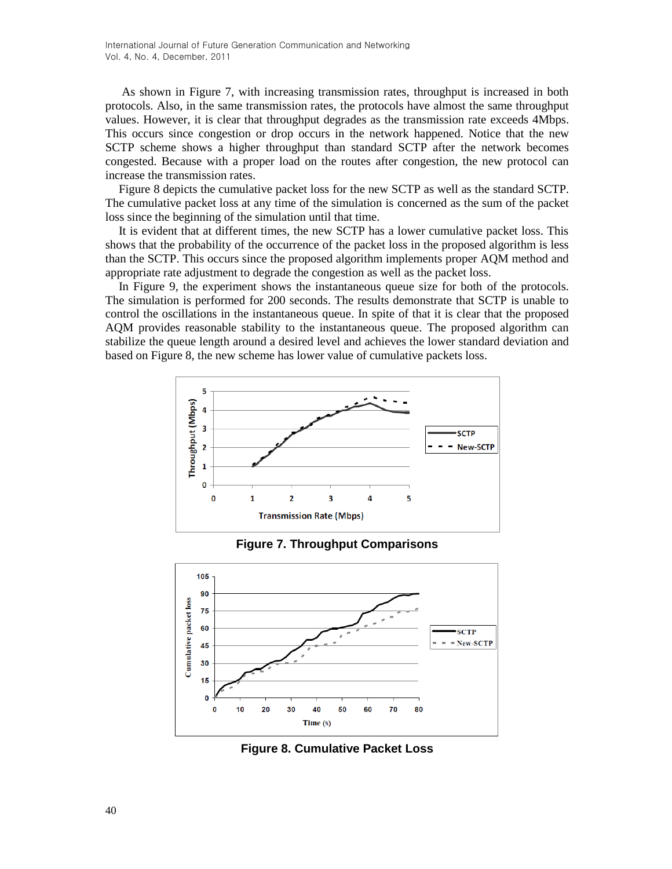As shown in Figure 7, with increasing transmission rates, throughput is increased in both protocols. Also, in the same transmission rates, the protocols have almost the same throughput values. However, it is clear that throughput degrades as the transmission rate exceeds 4Mbps. This occurs since congestion or drop occurs in the network happened. Notice that the new SCTP scheme shows a higher throughput than standard SCTP after the network becomes congested. Because with a proper load on the routes after congestion, the new protocol can increase the transmission rates.

Figure 8 depicts the cumulative packet loss for the new SCTP as well as the standard SCTP. The cumulative packet loss at any time of the simulation is concerned as the sum of the packet loss since the beginning of the simulation until that time.

It is evident that at different times, the new SCTP has a lower cumulative packet loss. This shows that the probability of the occurrence of the packet loss in the proposed algorithm is less than the SCTP. This occurs since the proposed algorithm implements proper AQM method and appropriate rate adjustment to degrade the congestion as well as the packet loss.

In Figure 9, the experiment shows the instantaneous queue size for both of the protocols. The simulation is performed for 200 seconds. The results demonstrate that SCTP is unable to control the oscillations in the instantaneous queue. In spite of that it is clear that the proposed AQM provides reasonable stability to the instantaneous queue. The proposed algorithm can stabilize the queue length around a desired level and achieves the lower standard deviation and based on Figure 8, the new scheme has lower value of cumulative packets loss.



**Figure 7. Throughput Comparisons**



**Figure 8. Cumulative Packet Loss**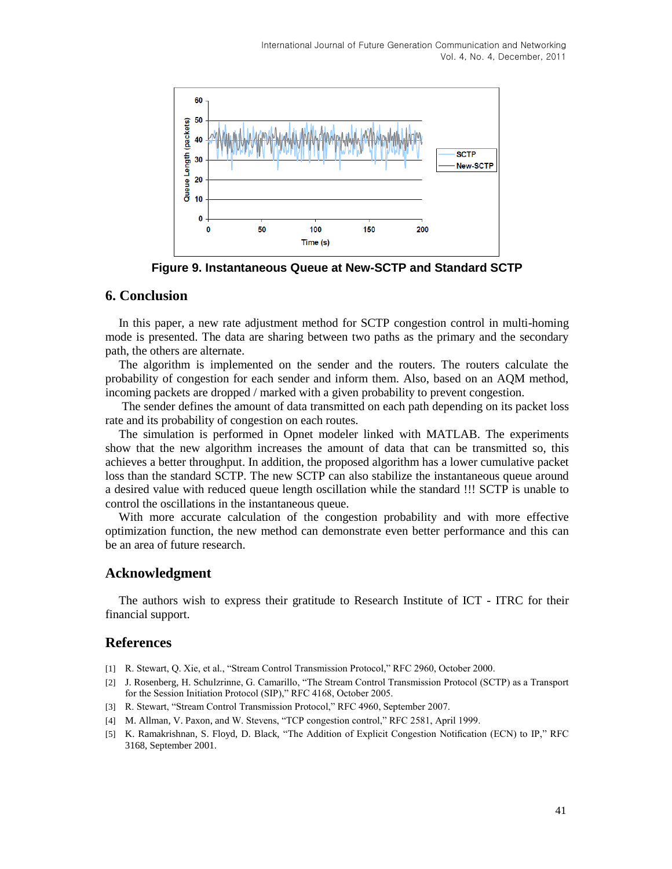

**Figure 9. Instantaneous Queue at New-SCTP and Standard SCTP**

## **6. Conclusion**

In this paper, a new rate adjustment method for SCTP congestion control in multi-homing mode is presented. The data are sharing between two paths as the primary and the secondary path, the others are alternate.

The algorithm is implemented on the sender and the routers. The routers calculate the probability of congestion for each sender and inform them. Also, based on an AQM method, incoming packets are dropped / marked with a given probability to prevent congestion.

The sender defines the amount of data transmitted on each path depending on its packet loss rate and its probability of congestion on each routes.

The simulation is performed in Opnet modeler linked with MATLAB. The experiments show that the new algorithm increases the amount of data that can be transmitted so, this achieves a better throughput. In addition, the proposed algorithm has a lower cumulative packet loss than the standard SCTP. The new SCTP can also stabilize the instantaneous queue around a desired value with reduced queue length oscillation while the standard !!! SCTP is unable to control the oscillations in the instantaneous queue.

With more accurate calculation of the congestion probability and with more effective optimization function, the new method can demonstrate even better performance and this can be an area of future research.

### **Acknowledgment**

The authors wish to express their gratitude to Research Institute of ICT - ITRC for their financial support.

### **References**

- [1] R. Stewart, Q. Xie, et al., "Stream Control Transmission Protocol," RFC 2960, October 2000.
- [2] J. Rosenberg, H. Schulzrinne, G. Camarillo, "The Stream Control Transmission Protocol (SCTP) as a Transport for the Session Initiation Protocol (SIP)," RFC 4168, October 2005.
- [3] R. Stewart, "Stream Control Transmission Protocol," RFC 4960, September 2007.
- [4] M. Allman, V. Paxon, and W. Stevens, "TCP congestion control," RFC 2581, April 1999.
- [5] K. Ramakrishnan, S. Floyd, D. Black, "The Addition of Explicit Congestion Notification (ECN) to IP," RFC 3168, September 2001.